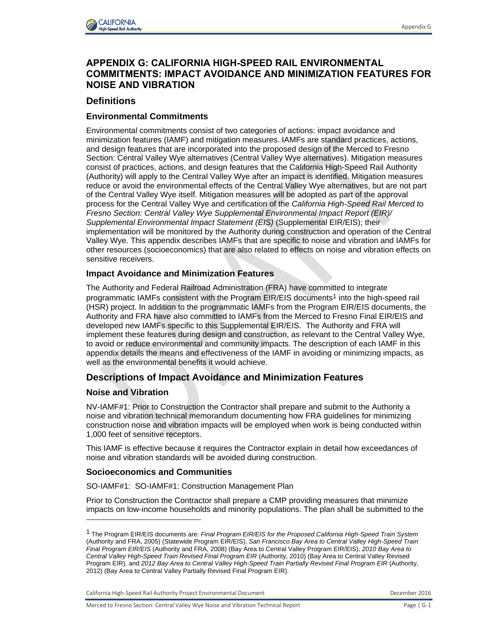

# **APPENDIX G: CALIFORNIA HIGH-SPEED RAIL ENVIRONMENTAL COMMITMENTS: IMPACT AVOIDANCE AND MINIMIZATION FEATURES FOR NOISE AND VIBRATION**

## **Definitions**

### **Environmental Commitments**

Environmental commitments consist of two categories of actions: impact avoidance and minimization features (IAMF) and mitigation measures. IAMFs are standard practices, actions, and design features that are incorporated into the proposed design of the Merced to Fresno Section: Central Valley Wye alternatives (Central Valley Wye alternatives). Mitigation measures consist of practices, actions, and design features that the California High-Speed Rail Authority (Authority) will apply to the Central Valley Wye after an impact is identified. Mitigation measures reduce or avoid the environmental effects of the Central Valley Wye alternatives, but are not part of the Central Valley Wye itself. Mitigation measures will be adopted as part of the approval process for the Central Valley Wye and certification of the *California High-Speed Rail Merced to Fresno Section: Central Valley Wye Supplemental Environmental Impact Report (EIR)/ Supplemental Environmental Impact Statement (EIS)* (Supplemental EIR/EIS); their implementation will be monitored by the Authority during construction and operation of the Central Valley Wye. This appendix describes IAMFs that are specific to noise and vibration and IAMFs for other resources (socioeconomics) that are also related to effects on noise and vibration effects on sensitive receivers.

#### **Impact Avoidance and Minimization Features**

The Authority and Federal Railroad Administration (FRA) have committed to integrate programmatic IAMFs consistent with the Program EIR/EIS documents<sup>1</sup> into the high-speed rail (HSR) project. In addition to the programmatic IAMFs from the Program EIR/EIS documents, the Authority and FRA have also committed to IAMFs from the Merced to Fresno Final EIR/EIS and developed new IAMFs specific to this Supplemental EIR/EIS. The Authority and FRA will implement these features during design and construction, as relevant to the Central Valley Wye, to avoid or reduce environmental and community impacts. The description of each IAMF in this appendix details the means and effectiveness of the IAMF in avoiding or minimizing impacts, as well as the environmental benefits it would achieve.

# **Descriptions of Impact Avoidance and Minimization Features**

#### **Noise and Vibration**

l

NV-IAMF#1: Prior to Construction the Contractor shall prepare and submit to the Authority a noise and vibration technical memorandum documenting how FRA guidelines for minimizing construction noise and vibration impacts will be employed when work is being conducted within 1,000 feet of sensitive receptors.

This IAMF is effective because it requires the Contractor explain in detail how exceedances of noise and vibration standards will be avoided during construction.

#### **Socioeconomics and Communities**

SO-IAMF#1: SO-IAMF#1: Construction Management Plan

Prior to Construction the Contractor shall prepare a CMP providing measures that minimize impacts on low-income households and minority populations. The plan shall be submitted to the

California High-Speed Rail Authority Project Environmental Document **December 2016** December 2016

<sup>1</sup> The Program EIR/EIS documents are: *Final Program EIR/EIS for the Proposed California High-Speed Train System* (Authority and FRA, 2005) (Statewide Program EIR/EIS), *San Francisco Bay Area to Central Valley High-Speed Train Final Program EIR/EIS* (Authority and FRA, 2008) (Bay Area to Central Valley Program EIR/EIS), *2010 Bay Area to Central Valley High-Speed Train Revised Final Program EIR* (Authority, 2010) (Bay Area to Central Valley Revised Program EIR), and *2012 Bay Area to Central Valley High-Speed Train Partially Revised Final Program EIR* (Authority, 2012) (Bay Area to Central Valley Partially Revised Final Program EIR).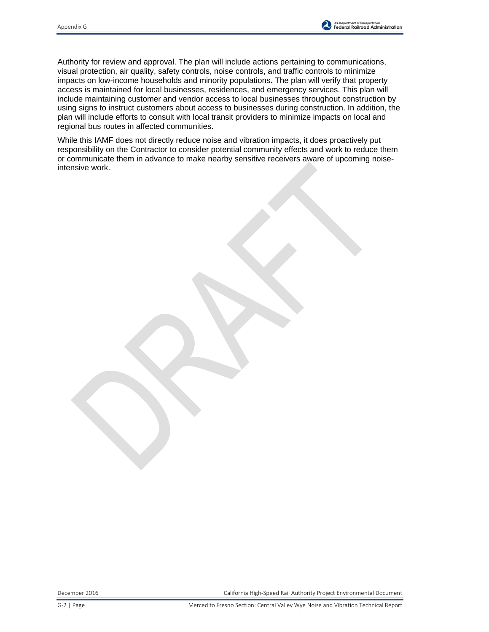

Authority for review and approval. The plan will include actions pertaining to communications, visual protection, air quality, safety controls, noise controls, and traffic controls to minimize impacts on low-income households and minority populations. The plan will verify that property access is maintained for local businesses, residences, and emergency services. This plan will include maintaining customer and vendor access to local businesses throughout construction by using signs to instruct customers about access to businesses during construction. In addition, the plan will include efforts to consult with local transit providers to minimize impacts on local and regional bus routes in affected communities.

While this IAMF does not directly reduce noise and vibration impacts, it does proactively put responsibility on the Contractor to consider potential community effects and work to reduce them or communicate them in advance to make nearby sensitive receivers aware of upcoming noiseintensive work.

December 2016 California High-Speed Rail Authority Project Environmental Document